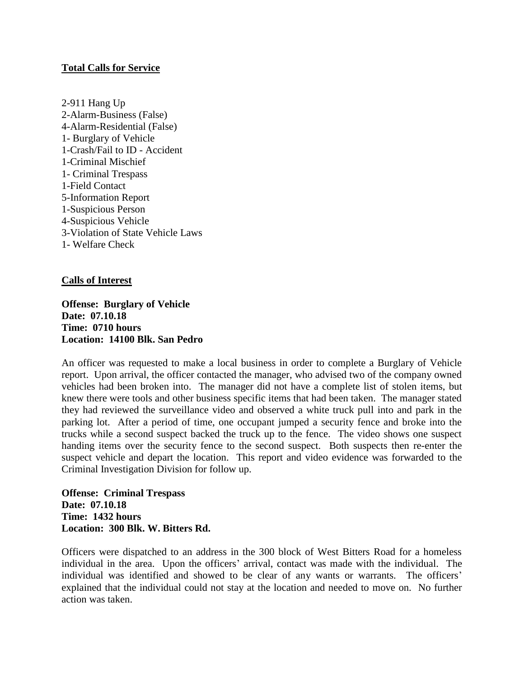## **Total Calls for Service**

2-911 Hang Up 2-Alarm-Business (False) 4-Alarm-Residential (False) 1- Burglary of Vehicle 1-Crash/Fail to ID - Accident 1-Criminal Mischief 1- Criminal Trespass 1-Field Contact 5-Information Report 1-Suspicious Person 4-Suspicious Vehicle 3-Violation of State Vehicle Laws 1- Welfare Check

# **Calls of Interest**

**Offense: Burglary of Vehicle Date: 07.10.18 Time: 0710 hours Location: 14100 Blk. San Pedro**

An officer was requested to make a local business in order to complete a Burglary of Vehicle report. Upon arrival, the officer contacted the manager, who advised two of the company owned vehicles had been broken into. The manager did not have a complete list of stolen items, but knew there were tools and other business specific items that had been taken. The manager stated they had reviewed the surveillance video and observed a white truck pull into and park in the parking lot. After a period of time, one occupant jumped a security fence and broke into the trucks while a second suspect backed the truck up to the fence. The video shows one suspect handing items over the security fence to the second suspect. Both suspects then re-enter the suspect vehicle and depart the location. This report and video evidence was forwarded to the Criminal Investigation Division for follow up.

**Offense: Criminal Trespass Date: 07.10.18 Time: 1432 hours Location: 300 Blk. W. Bitters Rd.**

Officers were dispatched to an address in the 300 block of West Bitters Road for a homeless individual in the area. Upon the officers' arrival, contact was made with the individual. The individual was identified and showed to be clear of any wants or warrants. The officers' explained that the individual could not stay at the location and needed to move on. No further action was taken.